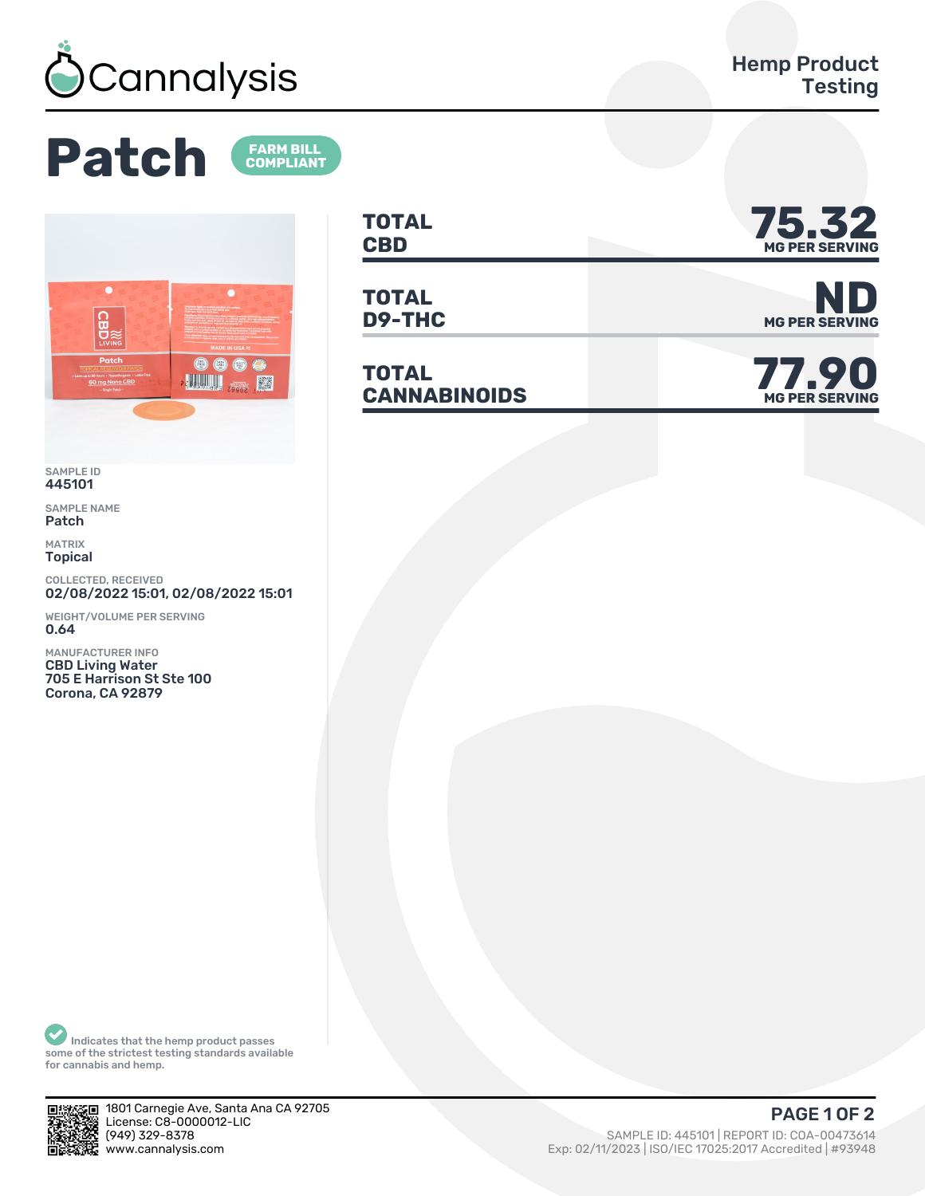

**FARM BILL<br>COMPLIANT** 

**Patch** 



SAMPLE ID 445101

SAMPLE NAME Patch

MATRIX Topical

COLLECTED, RECEIVED 02/08/2022 15:01, 02/08/2022 15:01

WEIGHT/VOLUME PER SERVING 0.64

MANUFACTURER INFO CBD Living Water 705 E Harrison St Ste 100 Corona, CA 92879

**TOTAL** TOTAL **75.32** 

**TOTAL**

**TOTAL** TOTAL<br>CANNABINOIDS



**D9-THC** MG PER SERVING

**MG PER SERVING**

Indicates that the hemp product passes some of the strictest testing standards available for cannabis and hemp.



1801 Carnegie Ave, Santa Ana CA 92705 License: C8-0000012-LIC<br>(949) 329-8378

(ȅȀȅ) ǿǾȅ-ȄǿȃȄ SAMPLE ID: ȀȀȁǽǼǽ | REPORT ID: COA-ǼǼȀȃǿȂǽȀ Exp: 02/11/2023 | ISO/IEC 17025:2017 Accredited | #93948